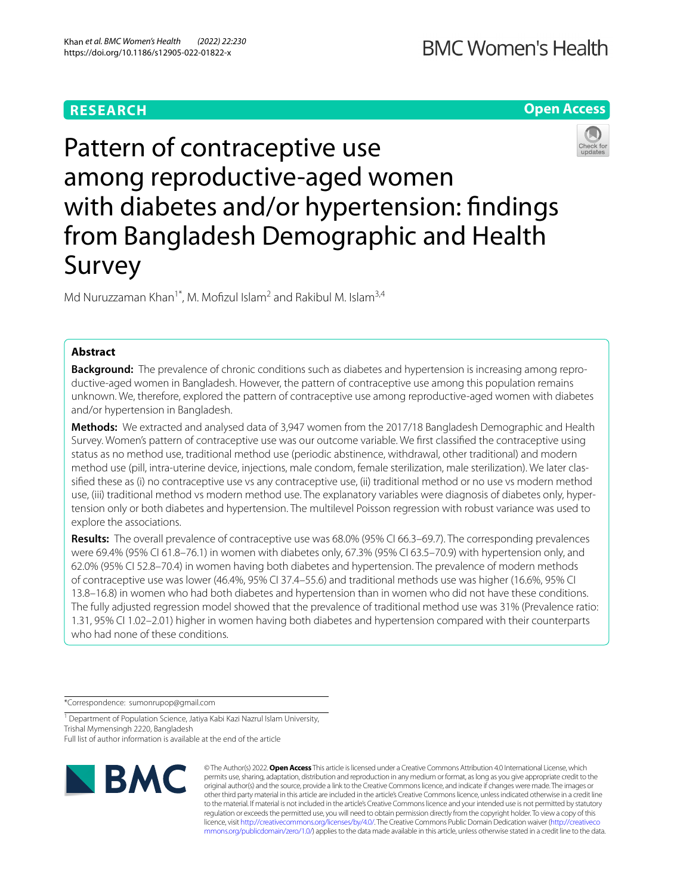# **RESEARCH**

# **Open Access**



Pattern of contraceptive use among reproductive-aged women with diabetes and/or hypertension: findings from Bangladesh Demographic and Health Survey

Md Nuruzzaman Khan<sup>1\*</sup>, M. Mofizul Islam<sup>2</sup> and Rakibul M. Islam<sup>3,4</sup>

# **Abstract**

**Background:** The prevalence of chronic conditions such as diabetes and hypertension is increasing among reproductive-aged women in Bangladesh. However, the pattern of contraceptive use among this population remains unknown. We, therefore, explored the pattern of contraceptive use among reproductive-aged women with diabetes and/or hypertension in Bangladesh.

**Methods:** We extracted and analysed data of 3,947 women from the 2017/18 Bangladesh Demographic and Health Survey. Women's pattern of contraceptive use was our outcome variable. We frst classifed the contraceptive using status as no method use, traditional method use (periodic abstinence, withdrawal, other traditional) and modern method use (pill, intra-uterine device, injections, male condom, female sterilization, male sterilization). We later classifed these as (i) no contraceptive use vs any contraceptive use, (ii) traditional method or no use vs modern method use, (iii) traditional method vs modern method use. The explanatory variables were diagnosis of diabetes only, hypertension only or both diabetes and hypertension. The multilevel Poisson regression with robust variance was used to explore the associations.

**Results:** The overall prevalence of contraceptive use was 68.0% (95% CI 66.3–69.7). The corresponding prevalences were 69.4% (95% CI 61.8–76.1) in women with diabetes only, 67.3% (95% CI 63.5–70.9) with hypertension only, and 62.0% (95% CI 52.8–70.4) in women having both diabetes and hypertension. The prevalence of modern methods of contraceptive use was lower (46.4%, 95% CI 37.4–55.6) and traditional methods use was higher (16.6%, 95% CI 13.8–16.8) in women who had both diabetes and hypertension than in women who did not have these conditions. The fully adjusted regression model showed that the prevalence of traditional method use was 31% (Prevalence ratio: 1.31, 95% CI 1.02–2.01) higher in women having both diabetes and hypertension compared with their counterparts who had none of these conditions.

\*Correspondence: sumonrupop@gmail.com

<sup>1</sup> Department of Population Science, Jatiya Kabi Kazi Nazrul Islam University, Trishal Mymensingh 2220, Bangladesh Full list of author information is available at the end of the article



© The Author(s) 2022. **Open Access** This article is licensed under a Creative Commons Attribution 4.0 International License, which permits use, sharing, adaptation, distribution and reproduction in any medium or format, as long as you give appropriate credit to the original author(s) and the source, provide a link to the Creative Commons licence, and indicate if changes were made. The images or other third party material in this article are included in the article's Creative Commons licence, unless indicated otherwise in a credit line to the material. If material is not included in the article's Creative Commons licence and your intended use is not permitted by statutory regulation or exceeds the permitted use, you will need to obtain permission directly from the copyright holder. To view a copy of this licence, visit [http://creativecommons.org/licenses/by/4.0/.](http://creativecommons.org/licenses/by/4.0/) The Creative Commons Public Domain Dedication waiver ([http://creativeco](http://creativecommons.org/publicdomain/zero/1.0/) [mmons.org/publicdomain/zero/1.0/](http://creativecommons.org/publicdomain/zero/1.0/)) applies to the data made available in this article, unless otherwise stated in a credit line to the data.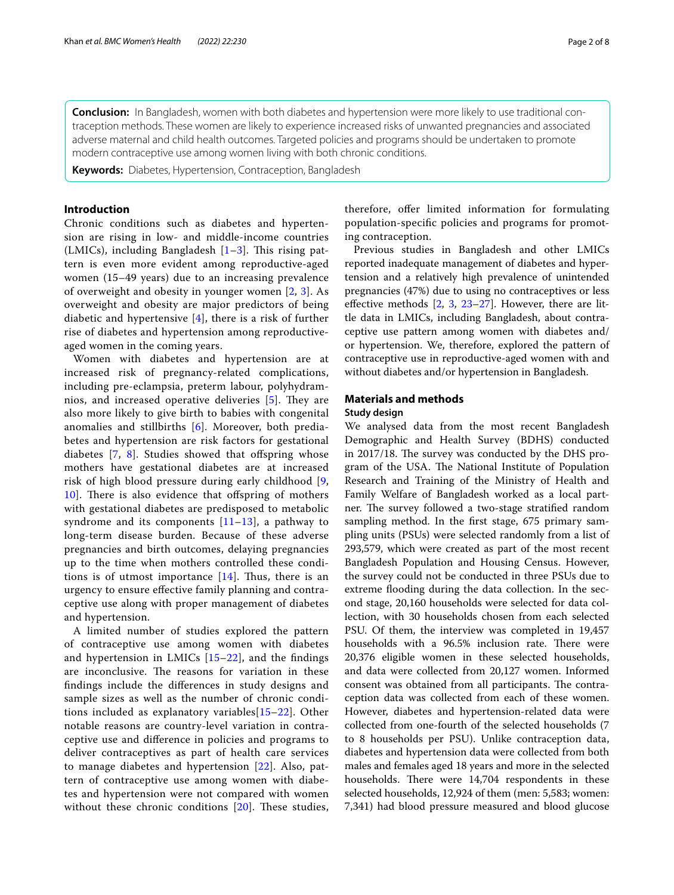**Conclusion:** In Bangladesh, women with both diabetes and hypertension were more likely to use traditional contraception methods. These women are likely to experience increased risks of unwanted pregnancies and associated adverse maternal and child health outcomes. Targeted policies and programs should be undertaken to promote modern contraceptive use among women living with both chronic conditions.

**Keywords:** Diabetes, Hypertension, Contraception, Bangladesh

# **Introduction**

Chronic conditions such as diabetes and hypertension are rising in low- and middle-income countries (LMICs), including Bangladesh  $[1-3]$  $[1-3]$ . This rising pattern is even more evident among reproductive-aged women (15–49 years) due to an increasing prevalence of overweight and obesity in younger women [\[2](#page-6-2), [3\]](#page-6-1). As overweight and obesity are major predictors of being diabetic and hypertensive  $[4]$  $[4]$ , there is a risk of further rise of diabetes and hypertension among reproductiveaged women in the coming years.

Women with diabetes and hypertension are at increased risk of pregnancy-related complications, including pre-eclampsia, preterm labour, polyhydram-nios, and increased operative deliveries [[5\]](#page-6-4). They are also more likely to give birth to babies with congenital anomalies and stillbirths [[6\]](#page-6-5). Moreover, both prediabetes and hypertension are risk factors for gestational diabetes  $[7, 8]$  $[7, 8]$  $[7, 8]$  $[7, 8]$  $[7, 8]$ . Studies showed that offspring whose mothers have gestational diabetes are at increased risk of high blood pressure during early childhood [\[9](#page-6-8), [10\]](#page-6-9). There is also evidence that offspring of mothers with gestational diabetes are predisposed to metabolic syndrome and its components  $[11-13]$  $[11-13]$ , a pathway to long-term disease burden. Because of these adverse pregnancies and birth outcomes, delaying pregnancies up to the time when mothers controlled these conditions is of utmost importance  $[14]$  $[14]$  $[14]$ . Thus, there is an urgency to ensure efective family planning and contraceptive use along with proper management of diabetes and hypertension.

A limited number of studies explored the pattern of contraceptive use among women with diabetes and hypertension in LMICs [\[15](#page-6-13)[–22\]](#page-7-0), and the fndings are inconclusive. The reasons for variation in these fndings include the diferences in study designs and sample sizes as well as the number of chronic conditions included as explanatory variables[\[15](#page-6-13)–[22\]](#page-7-0). Other notable reasons are country-level variation in contraceptive use and diference in policies and programs to deliver contraceptives as part of health care services to manage diabetes and hypertension [[22](#page-7-0)]. Also, pattern of contraceptive use among women with diabetes and hypertension were not compared with women without these chronic conditions  $[20]$  $[20]$ . These studies,

therefore, offer limited information for formulating population-specifc policies and programs for promoting contraception.

Previous studies in Bangladesh and other LMICs reported inadequate management of diabetes and hypertension and a relatively high prevalence of unintended pregnancies (47%) due to using no contraceptives or less effective methods  $[2, 3, 23-27]$  $[2, 3, 23-27]$  $[2, 3, 23-27]$  $[2, 3, 23-27]$  $[2, 3, 23-27]$  $[2, 3, 23-27]$  $[2, 3, 23-27]$ . However, there are little data in LMICs, including Bangladesh, about contraceptive use pattern among women with diabetes and/ or hypertension. We, therefore, explored the pattern of contraceptive use in reproductive-aged women with and without diabetes and/or hypertension in Bangladesh.

## **Materials and methods**

## **Study design**

We analysed data from the most recent Bangladesh Demographic and Health Survey (BDHS) conducted in 2017/18. The survey was conducted by the DHS program of the USA. The National Institute of Population Research and Training of the Ministry of Health and Family Welfare of Bangladesh worked as a local partner. The survey followed a two-stage stratified random sampling method. In the frst stage, 675 primary sampling units (PSUs) were selected randomly from a list of 293,579, which were created as part of the most recent Bangladesh Population and Housing Census. However, the survey could not be conducted in three PSUs due to extreme flooding during the data collection. In the second stage, 20,160 households were selected for data collection, with 30 households chosen from each selected PSU. Of them, the interview was completed in 19,457 households with a 96.5% inclusion rate. There were 20,376 eligible women in these selected households, and data were collected from 20,127 women. Informed consent was obtained from all participants. The contraception data was collected from each of these women. However, diabetes and hypertension-related data were collected from one-fourth of the selected households (7 to 8 households per PSU). Unlike contraception data, diabetes and hypertension data were collected from both males and females aged 18 years and more in the selected households. There were 14,704 respondents in these selected households, 12,924 of them (men: 5,583; women: 7,341) had blood pressure measured and blood glucose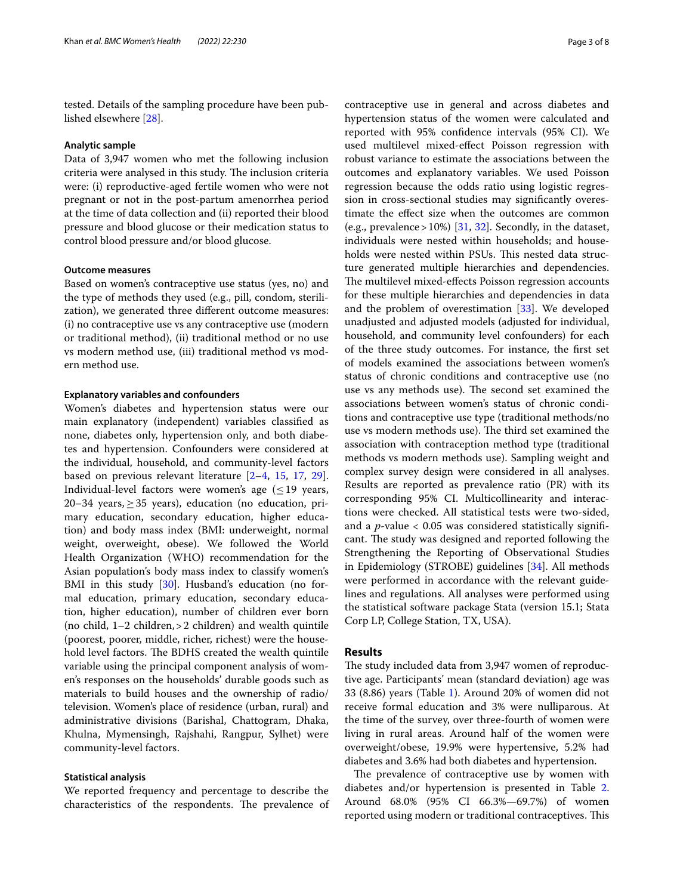tested. Details of the sampling procedure have been published elsewhere [\[28](#page-7-3)].

# **Analytic sample**

Data of 3,947 women who met the following inclusion criteria were analysed in this study. The inclusion criteria were: (i) reproductive-aged fertile women who were not pregnant or not in the post-partum amenorrhea period at the time of data collection and (ii) reported their blood pressure and blood glucose or their medication status to control blood pressure and/or blood glucose.

## **Outcome measures**

Based on women's contraceptive use status (yes, no) and the type of methods they used (e.g., pill, condom, sterilization), we generated three diferent outcome measures: (i) no contraceptive use vs any contraceptive use (modern or traditional method), (ii) traditional method or no use vs modern method use, (iii) traditional method vs modern method use.

## **Explanatory variables and confounders**

Women's diabetes and hypertension status were our main explanatory (independent) variables classifed as none, diabetes only, hypertension only, and both diabetes and hypertension. Confounders were considered at the individual, household, and community-level factors based on previous relevant literature [[2](#page-6-2)[–4](#page-6-3), [15,](#page-6-13) [17,](#page-6-15) [29](#page-7-4)]. Individual-level factors were women's age  $(\leq 19$  years, 20–34 years,  $\geq$  35 years), education (no education, primary education, secondary education, higher education) and body mass index (BMI: underweight, normal weight, overweight, obese). We followed the World Health Organization (WHO) recommendation for the Asian population's body mass index to classify women's BMI in this study [[30](#page-7-5)]. Husband's education (no formal education, primary education, secondary education, higher education), number of children ever born (no child,  $1-2$  children,  $>2$  children) and wealth quintile (poorest, poorer, middle, richer, richest) were the household level factors. The BDHS created the wealth quintile variable using the principal component analysis of women's responses on the households' durable goods such as materials to build houses and the ownership of radio/ television. Women's place of residence (urban, rural) and administrative divisions (Barishal, Chattogram, Dhaka, Khulna, Mymensingh, Rajshahi, Rangpur, Sylhet) were community-level factors.

## **Statistical analysis**

We reported frequency and percentage to describe the characteristics of the respondents. The prevalence of

contraceptive use in general and across diabetes and hypertension status of the women were calculated and reported with 95% confdence intervals (95% CI). We used multilevel mixed-efect Poisson regression with robust variance to estimate the associations between the outcomes and explanatory variables. We used Poisson regression because the odds ratio using logistic regression in cross-sectional studies may signifcantly overestimate the efect size when the outcomes are common (e.g., prevalence >  $10\%$ ) [[31,](#page-7-6) [32\]](#page-7-7). Secondly, in the dataset, individuals were nested within households; and households were nested within PSUs. This nested data structure generated multiple hierarchies and dependencies. The multilevel mixed-effects Poisson regression accounts for these multiple hierarchies and dependencies in data and the problem of overestimation [[33\]](#page-7-8). We developed unadjusted and adjusted models (adjusted for individual, household, and community level confounders) for each of the three study outcomes. For instance, the frst set of models examined the associations between women's status of chronic conditions and contraceptive use (no use vs any methods use). The second set examined the associations between women's status of chronic conditions and contraceptive use type (traditional methods/no use vs modern methods use). The third set examined the association with contraception method type (traditional methods vs modern methods use). Sampling weight and complex survey design were considered in all analyses. Results are reported as prevalence ratio (PR) with its corresponding 95% CI. Multicollinearity and interactions were checked. All statistical tests were two-sided, and a *p*-value < 0.05 was considered statistically signifcant. The study was designed and reported following the Strengthening the Reporting of Observational Studies in Epidemiology (STROBE) guidelines [\[34](#page-7-9)]. All methods were performed in accordance with the relevant guidelines and regulations. All analyses were performed using the statistical software package Stata (version 15.1; Stata Corp LP, College Station, TX, USA).

## **Results**

The study included data from 3,947 women of reproductive age. Participants' mean (standard deviation) age was 33 (8.86) years (Table [1](#page-3-0)). Around 20% of women did not receive formal education and 3% were nulliparous. At the time of the survey, over three-fourth of women were living in rural areas. Around half of the women were overweight/obese, 19.9% were hypertensive, 5.2% had diabetes and 3.6% had both diabetes and hypertension.

The prevalence of contraceptive use by women with diabetes and/or hypertension is presented in Table [2](#page-4-0). Around 68.0% (95% CI 66.3%—69.7%) of women reported using modern or traditional contraceptives. This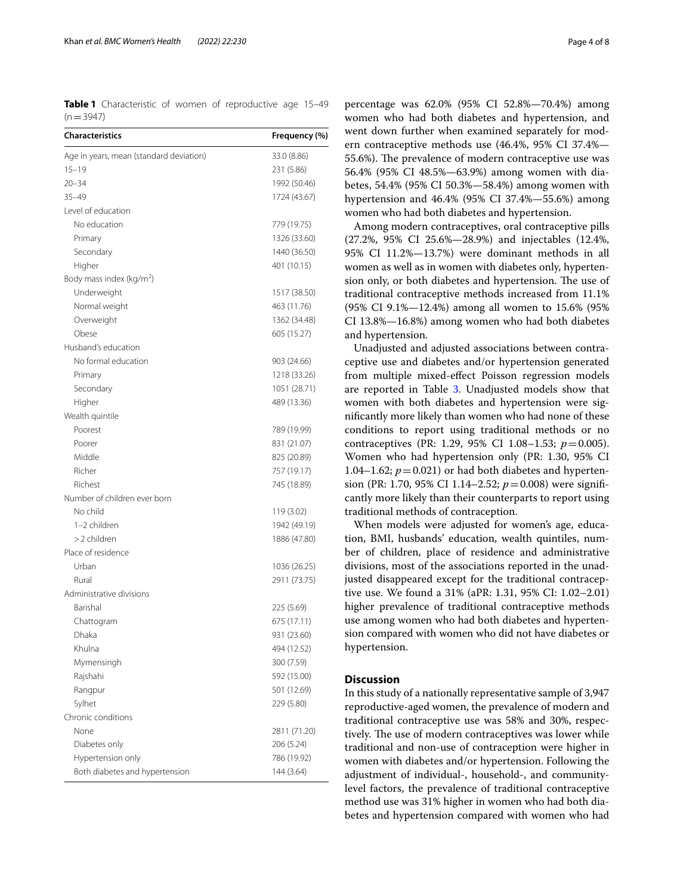<span id="page-3-0"></span>**Table 1** Characteristic of women of reproductive age 15–49  $(n=3947)$ 

| <b>Characteristics</b>                  | Frequency (%) |
|-----------------------------------------|---------------|
| Age in years, mean (standard deviation) | 33.0 (8.86)   |
| $15 - 19$                               | 231 (5.86)    |
| $20 - 34$                               | 1992 (50.46)  |
| $35 - 49$                               | 1724 (43.67)  |
| Level of education                      |               |
| No education                            | 779 (19.75)   |
| Primary                                 | 1326 (33.60)  |
| Secondary                               | 1440 (36.50)  |
| Higher                                  | 401 (10.15)   |
| Body mass index (kg/m <sup>2</sup> )    |               |
| Underweight                             | 1517 (38.50)  |
| Normal weight                           | 463 (11.76)   |
| Overweight                              | 1362 (34.48)  |
| Obese                                   | 605 (15.27)   |
| Husband's education                     |               |
| No formal education                     | 903 (24.66)   |
| Primary                                 | 1218 (33.26)  |
| Secondary                               | 1051 (28.71)  |
| Higher                                  | 489 (13.36)   |
| Wealth quintile                         |               |
| Poorest                                 | 789 (19.99)   |
| Poorer                                  | 831 (21.07)   |
| Middle                                  | 825 (20.89)   |
| Richer                                  | 757 (19.17)   |
| Richest                                 | 745 (18.89)   |
| Number of children ever born            |               |
| No child                                | 119 (3.02)    |
| 1-2 children                            | 1942 (49.19)  |
| >2 children                             | 1886 (47.80)  |
| Place of residence                      |               |
| Urban                                   | 1036 (26.25)  |
| Rural                                   | 2911 (73.75)  |
| Administrative divisions                |               |
| Barishal                                | 225 (5.69)    |
| Chattogram                              | 675 (17.11)   |
| Dhaka                                   | 931 (23.60)   |
| Khulna                                  | 494 (12.52)   |
| Mymensingh                              | 300 (7.59)    |
| Rajshahi                                | 592 (15.00)   |
| Rangpur                                 | 501 (12.69)   |
| Sylhet                                  | 229 (5.80)    |
| Chronic conditions                      |               |
| None                                    | 2811 (71.20)  |
| Diabetes only                           | 206 (5.24)    |
| Hypertension only                       | 786 (19.92)   |
| Both diabetes and hypertension          | 144 (3.64)    |

percentage was 62.0% (95% CI 52.8%—70.4%) among women who had both diabetes and hypertension, and went down further when examined separately for modern contraceptive methods use (46.4%, 95% CI 37.4%— 55.6%). The prevalence of modern contraceptive use was 56.4% (95% CI 48.5%—63.9%) among women with diabetes, 54.4% (95% CI 50.3%—58.4%) among women with hypertension and 46.4% (95% CI 37.4%—55.6%) among women who had both diabetes and hypertension.

Among modern contraceptives, oral contraceptive pills (27.2%, 95% CI 25.6%—28.9%) and injectables (12.4%, 95% CI 11.2%—13.7%) were dominant methods in all women as well as in women with diabetes only, hypertension only, or both diabetes and hypertension. The use of traditional contraceptive methods increased from 11.1% (95% CI 9.1%—12.4%) among all women to 15.6% (95% CI 13.8%—16.8%) among women who had both diabetes and hypertension.

Unadjusted and adjusted associations between contraceptive use and diabetes and/or hypertension generated from multiple mixed-efect Poisson regression models are reported in Table [3](#page-4-1). Unadjusted models show that women with both diabetes and hypertension were signifcantly more likely than women who had none of these conditions to report using traditional methods or no contraceptives (PR: 1.29, 95% CI 1.08–1.53; *p*=0.005). Women who had hypertension only (PR: 1.30, 95% CI 1.04–1.62;  $p = 0.021$ ) or had both diabetes and hypertension (PR: 1.70, 95% CI 1.14–2.52; *p*=0.008) were signifcantly more likely than their counterparts to report using traditional methods of contraception.

When models were adjusted for women's age, education, BMI, husbands' education, wealth quintiles, number of children, place of residence and administrative divisions, most of the associations reported in the unadjusted disappeared except for the traditional contraceptive use. We found a 31% (aPR: 1.31, 95% CI: 1.02–2.01) higher prevalence of traditional contraceptive methods use among women who had both diabetes and hypertension compared with women who did not have diabetes or hypertension.

# **Discussion**

In this study of a nationally representative sample of 3,947 reproductive-aged women, the prevalence of modern and traditional contraceptive use was 58% and 30%, respectively. The use of modern contraceptives was lower while traditional and non-use of contraception were higher in women with diabetes and/or hypertension. Following the adjustment of individual-, household-, and communitylevel factors, the prevalence of traditional contraceptive method use was 31% higher in women who had both diabetes and hypertension compared with women who had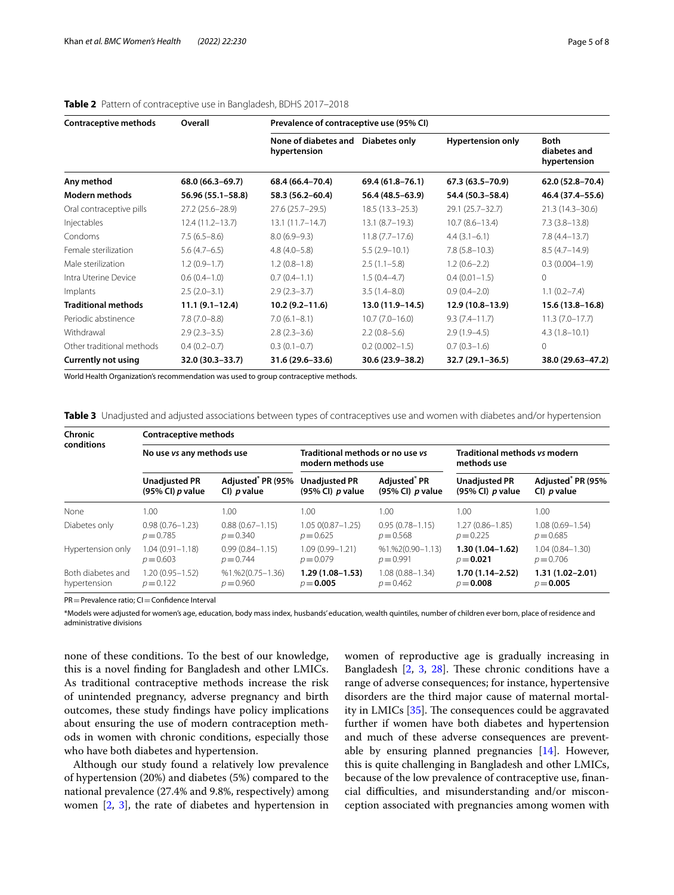| Contraceptive methods      | Overall             | Prevalence of contraceptive use (95% CI) |                     |                          |                                             |  |
|----------------------------|---------------------|------------------------------------------|---------------------|--------------------------|---------------------------------------------|--|
|                            |                     | None of diabetes and<br>hypertension     | Diabetes only       | <b>Hypertension only</b> | <b>Both</b><br>diabetes and<br>hypertension |  |
| Any method                 | 68.0 (66.3–69.7)    | 68.4 (66.4–70.4)                         | 69.4 (61.8–76.1)    | 67.3 (63.5–70.9)         | 62.0 (52.8-70.4)                            |  |
| <b>Modern methods</b>      | 56.96 (55.1-58.8)   | 58.3 (56.2-60.4)                         | 56.4 (48.5-63.9)    | 54.4 (50.3-58.4)         | 46.4 (37.4–55.6)                            |  |
| Oral contraceptive pills   | $27.2(25.6 - 28.9)$ | $27.6(25.7-29.5)$                        | $18.5(13.3 - 25.3)$ | 29.1 (25.7-32.7)         | $21.3(14.3 - 30.6)$                         |  |
| Injectables                | 12.4 (11.2-13.7)    | $13.1(11.7 - 14.7)$                      | $13.1 (8.7 - 19.3)$ | $10.7(8.6 - 13.4)$       | $7.3(3.8-13.8)$                             |  |
| Condoms                    | $7.5(6.5-8.6)$      | $8.0(6.9-9.3)$                           | $11.8(7.7-17.6)$    | $4.4(3.1-6.1)$           | $7.8(4.4 - 13.7)$                           |  |
| Female sterilization       | $5.6(4.7-6.5)$      | $4.8(4.0-5.8)$                           | $5.5(2.9-10.1)$     | $7.8(5.8 - 10.3)$        | $8.5(4.7-14.9)$                             |  |
| Male sterilization         | $1.2(0.9-1.7)$      | $1.2(0.8-1.8)$                           | $2.5(1.1-5.8)$      | $1.2(0.6-2.2)$           | $0.3(0.004 - 1.9)$                          |  |
| Intra Uterine Device       | $0.6(0.4-1.0)$      | $0.7(0.4-1.1)$                           | $1.5(0.4-4.7)$      | $0.4(0.01-1.5)$          | $\Omega$                                    |  |
| Implants                   | $2.5(2.0-3.1)$      | $2.9(2.3-3.7)$                           | $3.5(1.4 - 8.0)$    | $0.9(0.4 - 2.0)$         | $1.1(0.2 - 7.4)$                            |  |
| <b>Traditional methods</b> | $11.1(9.1 - 12.4)$  | $10.2(9.2 - 11.6)$                       | 13.0 (11.9-14.5)    | 12.9 (10.8-13.9)         | $15.6(13.8-16.8)$                           |  |
| Periodic abstinence        | $7.8(7.0-8.8)$      | $7.0(6.1-8.1)$                           | $10.7(7.0 - 16.0)$  | $9.3(7.4 - 11.7)$        | $11.3(7.0-17.7)$                            |  |
| Withdrawal                 | $2.9(2.3-3.5)$      | $2.8(2.3-3.6)$                           | $2.2(0.8-5.6)$      | $2.9(1.9-4.5)$           | $4.3(1.8 - 10.1)$                           |  |
| Other traditional methods  | $0.4(0.2-0.7)$      | $0.3(0.1-0.7)$                           | $0.2(0.002 - 1.5)$  | $0.7(0.3-1.6)$           | $\Omega$                                    |  |
| <b>Currently not using</b> | 32.0 (30.3-33.7)    | $31.6(29.6 - 33.6)$                      | 30.6 (23.9-38.2)    | 32.7 (29.1-36.5)         | 38.0 (29.63-47.2)                           |  |

# <span id="page-4-0"></span>**Table 2** Pattern of contraceptive use in Bangladesh, BDHS 2017–2018

World Health Organization's recommendation was used to group contraceptive methods.

<span id="page-4-1"></span>**Table 3** Unadjusted and adjusted associations between types of contraceptives use and women with diabetes and/or hypertension

| Chronic<br>conditions             | <b>Contraceptive methods</b>               |                                                     |                                                        |                                                |                                              |                                                        |  |
|-----------------------------------|--------------------------------------------|-----------------------------------------------------|--------------------------------------------------------|------------------------------------------------|----------------------------------------------|--------------------------------------------------------|--|
|                                   | No use vs any methods use                  |                                                     | Traditional methods or no use vs<br>modern methods use |                                                | Traditional methods vs modern<br>methods use |                                                        |  |
|                                   | <b>Unadjusted PR</b><br>$(95%$ CI) p value | Adjusted <sup>®</sup> PR (95%<br>CI) <i>p</i> value | <b>Unadjusted PR</b><br>$(95\%$ CI) p value            | Adjusted <sup>®</sup> PR<br>(95% CI) $p$ value | <b>Unadjusted PR</b><br>$(95\%$ CI) p value  | Adjusted <sup>*</sup> PR (95%<br>$Cl$ ) <i>p</i> value |  |
| None                              | 1.00                                       | 1.00                                                | 1.00.                                                  | 1.00                                           | 1.00                                         | 1.00                                                   |  |
| Diabetes only                     | $0.98(0.76 - 1.23)$<br>$p = 0.785$         | $0.88(0.67 - 1.15)$<br>$p = 0.340$                  | $1.050(0.87 - 1.25)$<br>$p = 0.625$                    | $0.95(0.78 - 1.15)$<br>$p = 0.568$             | $1.27(0.86 - 1.85)$<br>$p = 0.225$           | $1.08(0.69 - 1.54)$<br>$p = 0.685$                     |  |
| Hypertension only                 | $1.04(0.91 - 1.18)$<br>$p = 0.603$         | $0.99(0.84 - 1.15)$<br>$p = 0.744$                  | 1.09 (0.99-1.21)<br>$p = 0.079$                        | $%1.%2(0.90-1.13)$<br>$p = 0.991$              | $1.30(1.04 - 1.62)$<br>$p = 0.021$           | $1.04(0.84 - 1.30)$<br>$p = 0.706$                     |  |
| Both diabetes and<br>hypertension | 1.20 (0.95-1.52)<br>$p = 0.122$            | $%1$ , %2 $(0.75-1.36)$<br>$p = 0.960$              | $1.29(1.08-1.53)$<br>$p = 0.005$                       | $1.08(0.88 - 1.34)$<br>$p = 0.462$             | $1.70(1.14 - 2.52)$<br>$p = 0.008$           | $1.31(1.02 - 2.01)$<br>$p = 0.005$                     |  |

PR = Prevalence ratio; CI = Confidence Interval

\*Models were adjusted for women's age, education, body mass index, husbands' education, wealth quintiles, number of children ever born, place of residence and administrative divisions

none of these conditions. To the best of our knowledge, this is a novel fnding for Bangladesh and other LMICs. As traditional contraceptive methods increase the risk of unintended pregnancy, adverse pregnancy and birth outcomes, these study fndings have policy implications about ensuring the use of modern contraception methods in women with chronic conditions, especially those who have both diabetes and hypertension.

Although our study found a relatively low prevalence of hypertension (20%) and diabetes (5%) compared to the national prevalence (27.4% and 9.8%, respectively) among women [\[2,](#page-6-2) [3](#page-6-1)], the rate of diabetes and hypertension in women of reproductive age is gradually increasing in Bangladesh  $[2, 3, 28]$  $[2, 3, 28]$  $[2, 3, 28]$  $[2, 3, 28]$  $[2, 3, 28]$  $[2, 3, 28]$  $[2, 3, 28]$ . These chronic conditions have a range of adverse consequences; for instance, hypertensive disorders are the third major cause of maternal mortality in LMICs  $[35]$  $[35]$ . The consequences could be aggravated further if women have both diabetes and hypertension and much of these adverse consequences are preventable by ensuring planned pregnancies [\[14](#page-6-12)]. However, this is quite challenging in Bangladesh and other LMICs, because of the low prevalence of contraceptive use, fnancial difficulties, and misunderstanding and/or misconception associated with pregnancies among women with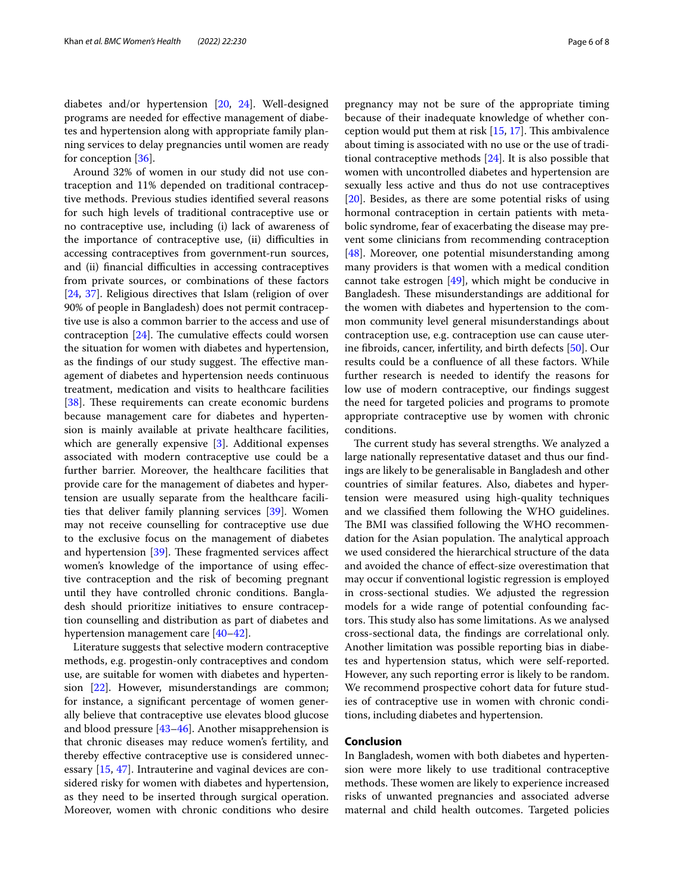diabetes and/or hypertension [[20,](#page-6-14) [24](#page-7-11)]. Well-designed programs are needed for efective management of diabetes and hypertension along with appropriate family planning services to delay pregnancies until women are ready for conception [[36\]](#page-7-12).

Around 32% of women in our study did not use contraception and 11% depended on traditional contraceptive methods. Previous studies identifed several reasons for such high levels of traditional contraceptive use or no contraceptive use, including (i) lack of awareness of the importance of contraceptive use, (ii) difficulties in accessing contraceptives from government-run sources, and (ii) financial difficulties in accessing contraceptives from private sources, or combinations of these factors [[24,](#page-7-11) [37](#page-7-13)]. Religious directives that Islam (religion of over 90% of people in Bangladesh) does not permit contraceptive use is also a common barrier to the access and use of contraception  $[24]$ . The cumulative effects could worsen the situation for women with diabetes and hypertension, as the findings of our study suggest. The effective management of diabetes and hypertension needs continuous treatment, medication and visits to healthcare facilities [[38\]](#page-7-14). These requirements can create economic burdens because management care for diabetes and hypertension is mainly available at private healthcare facilities, which are generally expensive [\[3](#page-6-1)]. Additional expenses associated with modern contraceptive use could be a further barrier. Moreover, the healthcare facilities that provide care for the management of diabetes and hypertension are usually separate from the healthcare facilities that deliver family planning services [\[39](#page-7-15)]. Women may not receive counselling for contraceptive use due to the exclusive focus on the management of diabetes and hypertension [[39\]](#page-7-15). These fragmented services affect women's knowledge of the importance of using efective contraception and the risk of becoming pregnant until they have controlled chronic conditions. Bangladesh should prioritize initiatives to ensure contraception counselling and distribution as part of diabetes and hypertension management care [[40–](#page-7-16)[42](#page-7-17)].

Literature suggests that selective modern contraceptive methods, e.g. progestin-only contraceptives and condom use, are suitable for women with diabetes and hypertension [\[22\]](#page-7-0). However, misunderstandings are common; for instance, a signifcant percentage of women generally believe that contraceptive use elevates blood glucose and blood pressure [[43–](#page-7-18)[46\]](#page-7-19). Another misapprehension is that chronic diseases may reduce women's fertility, and thereby efective contraceptive use is considered unnecessary [[15,](#page-6-13) [47\]](#page-7-20). Intrauterine and vaginal devices are considered risky for women with diabetes and hypertension, as they need to be inserted through surgical operation. Moreover, women with chronic conditions who desire pregnancy may not be sure of the appropriate timing because of their inadequate knowledge of whether conception would put them at risk  $[15, 17]$  $[15, 17]$  $[15, 17]$  $[15, 17]$ . This ambivalence about timing is associated with no use or the use of traditional contraceptive methods [\[24\]](#page-7-11). It is also possible that women with uncontrolled diabetes and hypertension are sexually less active and thus do not use contraceptives [[20\]](#page-6-14). Besides, as there are some potential risks of using hormonal contraception in certain patients with metabolic syndrome, fear of exacerbating the disease may prevent some clinicians from recommending contraception [[48\]](#page-7-21). Moreover, one potential misunderstanding among many providers is that women with a medical condition cannot take estrogen [\[49](#page-7-22)], which might be conducive in Bangladesh. These misunderstandings are additional for the women with diabetes and hypertension to the common community level general misunderstandings about contraception use, e.g. contraception use can cause uterine fbroids, cancer, infertility, and birth defects [[50\]](#page-7-23). Our results could be a confuence of all these factors. While further research is needed to identify the reasons for low use of modern contraceptive, our fndings suggest the need for targeted policies and programs to promote appropriate contraceptive use by women with chronic conditions.

The current study has several strengths. We analyzed a large nationally representative dataset and thus our fndings are likely to be generalisable in Bangladesh and other countries of similar features. Also, diabetes and hypertension were measured using high-quality techniques and we classifed them following the WHO guidelines. The BMI was classified following the WHO recommendation for the Asian population. The analytical approach we used considered the hierarchical structure of the data and avoided the chance of efect-size overestimation that may occur if conventional logistic regression is employed in cross-sectional studies. We adjusted the regression models for a wide range of potential confounding factors. This study also has some limitations. As we analysed cross-sectional data, the fndings are correlational only. Another limitation was possible reporting bias in diabetes and hypertension status, which were self-reported. However, any such reporting error is likely to be random. We recommend prospective cohort data for future studies of contraceptive use in women with chronic conditions, including diabetes and hypertension.

## **Conclusion**

In Bangladesh, women with both diabetes and hypertension were more likely to use traditional contraceptive methods. These women are likely to experience increased risks of unwanted pregnancies and associated adverse maternal and child health outcomes. Targeted policies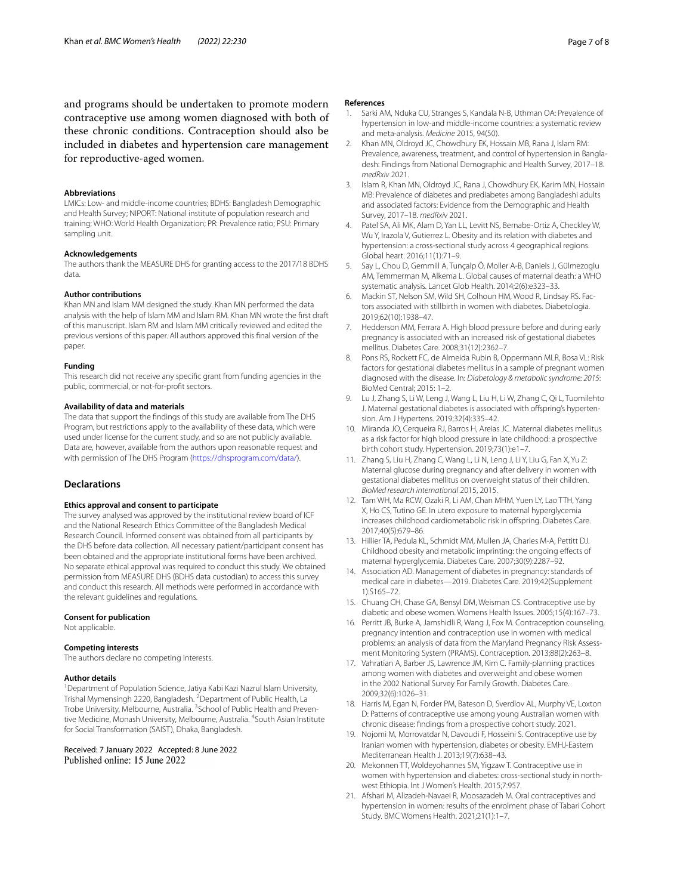and programs should be undertaken to promote modern contraceptive use among women diagnosed with both of these chronic conditions. Contraception should also be included in diabetes and hypertension care management for reproductive-aged women.

#### **Abbreviations**

LMICs: Low- and middle-income countries; BDHS: Bangladesh Demographic and Health Survey; NIPORT: National institute of population research and training; WHO: World Health Organization; PR: Prevalence ratio; PSU: Primary sampling unit.

## **Acknowledgements**

The authors thank the MEASURE DHS for granting access to the 2017/18 BDHS data.

## **Author contributions**

Khan MN and Islam MM designed the study. Khan MN performed the data analysis with the help of Islam MM and Islam RM. Khan MN wrote the frst draft of this manuscript. Islam RM and Islam MM critically reviewed and edited the previous versions of this paper. All authors approved this fnal version of the paper.

#### **Funding**

This research did not receive any specifc grant from funding agencies in the public, commercial, or not-for-proft sectors.

#### **Availability of data and materials**

The data that support the fndings of this study are available from The DHS Program, but restrictions apply to the availability of these data, which were used under license for the current study, and so are not publicly available. Data are, however, available from the authors upon reasonable request and with permission of The DHS Program [\(https://dhsprogram.com/data/](https://dhsprogram.com/data/)).

## **Declarations**

### **Ethics approval and consent to participate**

The survey analysed was approved by the institutional review board of ICF and the National Research Ethics Committee of the Bangladesh Medical Research Council. Informed consent was obtained from all participants by the DHS before data collection. All necessary patient/participant consent has been obtained and the appropriate institutional forms have been archived. No separate ethical approval was required to conduct this study. We obtained permission from MEASURE DHS (BDHS data custodian) to access this survey and conduct this research. All methods were performed in accordance with the relevant guidelines and regulations.

#### **Consent for publication**

Not applicable.

### **Competing interests**

The authors declare no competing interests.

#### **Author details**

<sup>1</sup> Department of Population Science, Jatiya Kabi Kazi Nazrul Islam University, Trishal Mymensingh 2220, Bangladesh. <sup>2</sup> Department of Public Health, La Trobe University, Melbourne, Australia. <sup>3</sup>School of Public Health and Preventive Medicine, Monash University, Melbourne, Australia. <sup>4</sup>South Asian Institute for Social Transformation (SAIST), Dhaka, Bangladesh.

Received: 7 January 2022 Accepted: 8 June 2022 Published online: 15 June 2022

#### **References**

- <span id="page-6-0"></span>1. Sarki AM, Nduka CU, Stranges S, Kandala N-B, Uthman OA: Prevalence of hypertension in low-and middle-income countries: a systematic review and meta-analysis. *Medicine* 2015, 94(50).
- <span id="page-6-2"></span>2. Khan MN, Oldroyd JC, Chowdhury EK, Hossain MB, Rana J, Islam RM: Prevalence, awareness, treatment, and control of hypertension in Bangladesh: Findings from National Demographic and Health Survey, 2017–18. *medRxiv* 2021.
- <span id="page-6-1"></span>Islam R, Khan MN, Oldroyd JC, Rana J, Chowdhury EK, Karim MN, Hossain MB: Prevalence of diabetes and prediabetes among Bangladeshi adults and associated factors: Evidence from the Demographic and Health Survey, 2017–18. *medRxiv* 2021.
- <span id="page-6-3"></span>4. Patel SA, Ali MK, Alam D, Yan LL, Levitt NS, Bernabe-Ortiz A, Checkley W, Wu Y, Irazola V, Gutierrez L. Obesity and its relation with diabetes and hypertension: a cross-sectional study across 4 geographical regions. Global heart. 2016;11(1):71–9.
- <span id="page-6-4"></span>5. Say L, Chou D, Gemmill A, Tunçalp Ö, Moller A-B, Daniels J, Gülmezoglu AM, Temmerman M, Alkema L. Global causes of maternal death: a WHO systematic analysis. Lancet Glob Health. 2014;2(6):e323–33.
- <span id="page-6-5"></span>6. Mackin ST, Nelson SM, Wild SH, Colhoun HM, Wood R, Lindsay RS. Factors associated with stillbirth in women with diabetes. Diabetologia. 2019;62(10):1938–47.
- <span id="page-6-6"></span>7. Hedderson MM, Ferrara A. High blood pressure before and during early pregnancy is associated with an increased risk of gestational diabetes mellitus. Diabetes Care. 2008;31(12):2362–7.
- <span id="page-6-7"></span>Pons RS, Rockett FC, de Almeida Rubin B, Oppermann MLR, Bosa VL: Risk factors for gestational diabetes mellitus in a sample of pregnant women diagnosed with the disease. In: *Diabetology & metabolic syndrome: 2015*: BioMed Central; 2015: 1–2.
- <span id="page-6-8"></span>9. Lu J, Zhang S, Li W, Leng J, Wang L, Liu H, Li W, Zhang C, Qi L, Tuomilehto J. Maternal gestational diabetes is associated with offspring's hypertension. Am J Hypertens. 2019;32(4):335–42.
- <span id="page-6-9"></span>10. Miranda JO, Cerqueira RJ, Barros H, Areias JC. Maternal diabetes mellitus as a risk factor for high blood pressure in late childhood: a prospective birth cohort study. Hypertension. 2019;73(1):e1–7.
- <span id="page-6-10"></span>11. Zhang S, Liu H, Zhang C, Wang L, Li N, Leng J, Li Y, Liu G, Fan X, Yu Z: Maternal glucose during pregnancy and after delivery in women with gestational diabetes mellitus on overweight status of their children. *BioMed research international* 2015, 2015.
- 12. Tam WH, Ma RCW, Ozaki R, Li AM, Chan MHM, Yuen LY, Lao TTH, Yang X, Ho CS, Tutino GE. In utero exposure to maternal hyperglycemia increases childhood cardiometabolic risk in offspring. Diabetes Care. 2017;40(5):679–86.
- <span id="page-6-11"></span>13. Hillier TA, Pedula KL, Schmidt MM, Mullen JA, Charles M-A, Pettitt DJ. Childhood obesity and metabolic imprinting: the ongoing efects of maternal hyperglycemia. Diabetes Care. 2007;30(9):2287–92.
- <span id="page-6-12"></span>14. Association AD. Management of diabetes in pregnancy: standards of medical care in diabetes—2019. Diabetes Care. 2019;42(Supplement 1):S165–72.
- <span id="page-6-13"></span>15. Chuang CH, Chase GA, Bensyl DM, Weisman CS. Contraceptive use by diabetic and obese women. Womens Health Issues. 2005;15(4):167–73.
- 16. Perritt JB, Burke A, Jamshidli R, Wang J, Fox M. Contraception counseling, pregnancy intention and contraception use in women with medical problems: an analysis of data from the Maryland Pregnancy Risk Assessment Monitoring System (PRAMS). Contraception. 2013;88(2):263–8.
- <span id="page-6-15"></span>17. Vahratian A, Barber JS, Lawrence JM, Kim C. Family-planning practices among women with diabetes and overweight and obese women in the 2002 National Survey For Family Growth. Diabetes Care. 2009;32(6):1026–31.
- 18. Harris M, Egan N, Forder PM, Bateson D, Sverdlov AL, Murphy VE, Loxton D: Patterns of contraceptive use among young Australian women with chronic disease: fndings from a prospective cohort study. 2021.
- 19. Nojomi M, Morrovatdar N, Davoudi F, Hosseini S. Contraceptive use by Iranian women with hypertension, diabetes or obesity. EMHJ-Eastern Mediterranean Health J. 2013;19(7):638–43.
- <span id="page-6-14"></span>20. Mekonnen TT, Woldeyohannes SM, Yigzaw T. Contraceptive use in women with hypertension and diabetes: cross-sectional study in northwest Ethiopia. Int J Women's Health. 2015;7:957.
- 21. Afshari M, Alizadeh-Navaei R, Moosazadeh M. Oral contraceptives and hypertension in women: results of the enrolment phase of Tabari Cohort Study. BMC Womens Health. 2021;21(1):1–7.